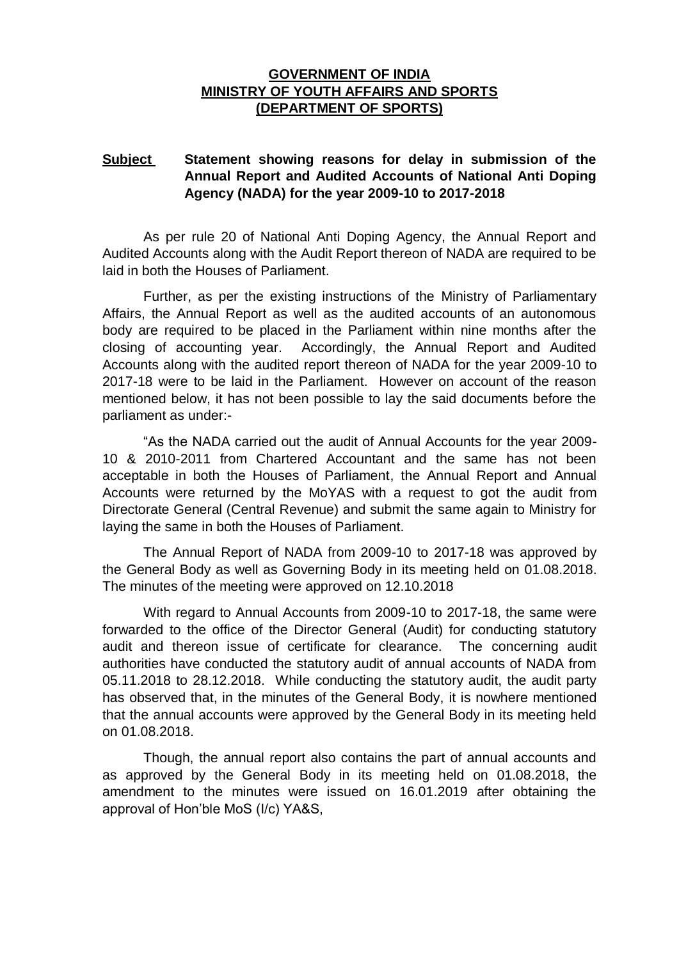## **GOVERNMENT OF INDIA MINISTRY OF YOUTH AFFAIRS AND SPORTS (DEPARTMENT OF SPORTS)**

## **Subject Statement showing reasons for delay in submission of the Annual Report and Audited Accounts of National Anti Doping Agency (NADA) for the year 2009-10 to 2017-2018**

As per rule 20 of National Anti Doping Agency, the Annual Report and Audited Accounts along with the Audit Report thereon of NADA are required to be laid in both the Houses of Parliament.

Further, as per the existing instructions of the Ministry of Parliamentary Affairs, the Annual Report as well as the audited accounts of an autonomous body are required to be placed in the Parliament within nine months after the closing of accounting year. Accordingly, the Annual Report and Audited Accounts along with the audited report thereon of NADA for the year 2009-10 to 2017-18 were to be laid in the Parliament. However on account of the reason mentioned below, it has not been possible to lay the said documents before the parliament as under:-

"As the NADA carried out the audit of Annual Accounts for the year 2009- 10 & 2010-2011 from Chartered Accountant and the same has not been acceptable in both the Houses of Parliament, the Annual Report and Annual Accounts were returned by the MoYAS with a request to got the audit from Directorate General (Central Revenue) and submit the same again to Ministry for laying the same in both the Houses of Parliament.

The Annual Report of NADA from 2009-10 to 2017-18 was approved by the General Body as well as Governing Body in its meeting held on 01.08.2018. The minutes of the meeting were approved on 12.10.2018

With regard to Annual Accounts from 2009-10 to 2017-18, the same were forwarded to the office of the Director General (Audit) for conducting statutory audit and thereon issue of certificate for clearance. The concerning audit authorities have conducted the statutory audit of annual accounts of NADA from 05.11.2018 to 28.12.2018. While conducting the statutory audit, the audit party has observed that, in the minutes of the General Body, it is nowhere mentioned that the annual accounts were approved by the General Body in its meeting held on 01.08.2018.

Though, the annual report also contains the part of annual accounts and as approved by the General Body in its meeting held on 01.08.2018, the amendment to the minutes were issued on 16.01.2019 after obtaining the approval of Hon'ble MoS (I/c) YA&S,